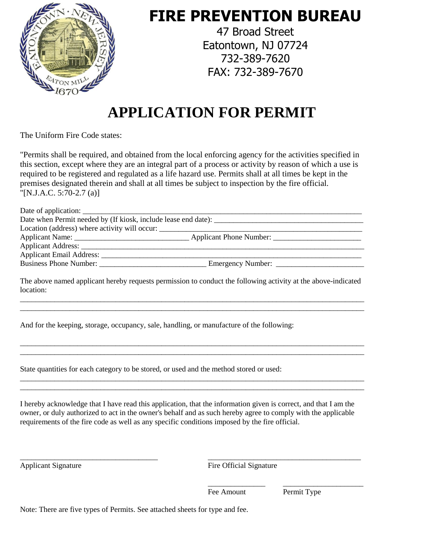

## **FIRE PREVENTION BUREAU**

47 Broad Street Eatontown, NJ 07724 732-389-7620 FAX: 732-389-7670

# **APPLICATION FOR PERMIT**

The Uniform Fire Code states:

"Permits shall be required, and obtained from the local enforcing agency for the activities specified in this section, except where they are an integral part of a process or activity by reason of which a use is required to be registered and regulated as a life hazard use. Permits shall at all times be kept in the premises designated therein and shall at all times be subject to inspection by the fire official. "[N.J.A.C. 5:70-2.7 (a)]

| Date of application:                                           |                   |
|----------------------------------------------------------------|-------------------|
| Date when Permit needed by (If kiosk, include lease end date): |                   |
| Location (address) where activity will occur:                  |                   |
|                                                                |                   |
|                                                                |                   |
|                                                                |                   |
|                                                                | Emergency Number: |
|                                                                |                   |

The above named applicant hereby requests permission to conduct the following activity at the above-indicated location: \_\_\_\_\_\_\_\_\_\_\_\_\_\_\_\_\_\_\_\_\_\_\_\_\_\_\_\_\_\_\_\_\_\_\_\_\_\_\_\_\_\_\_\_\_\_\_\_\_\_\_\_\_\_\_\_\_\_\_\_\_\_\_\_\_\_\_\_\_\_\_\_\_\_\_\_\_\_\_\_\_\_\_\_\_\_\_\_\_\_

\_\_\_\_\_\_\_\_\_\_\_\_\_\_\_\_\_\_\_\_\_\_\_\_\_\_\_\_\_\_\_\_\_\_\_\_\_\_\_\_\_\_\_\_\_\_\_\_\_\_\_\_\_\_\_\_\_\_\_\_\_\_\_\_\_\_\_\_\_\_\_\_\_\_\_\_\_\_\_\_\_\_\_\_\_\_\_\_\_\_

\_\_\_\_\_\_\_\_\_\_\_\_\_\_\_\_\_\_\_\_\_\_\_\_\_\_\_\_\_\_\_\_\_\_\_\_\_\_\_\_\_\_\_\_\_\_\_\_\_\_\_\_\_\_\_\_\_\_\_\_\_\_\_\_\_\_\_\_\_\_\_\_\_\_\_\_\_\_\_\_\_\_\_\_\_\_\_\_\_\_ \_\_\_\_\_\_\_\_\_\_\_\_\_\_\_\_\_\_\_\_\_\_\_\_\_\_\_\_\_\_\_\_\_\_\_\_\_\_\_\_\_\_\_\_\_\_\_\_\_\_\_\_\_\_\_\_\_\_\_\_\_\_\_\_\_\_\_\_\_\_\_\_\_\_\_\_\_\_\_\_\_\_\_\_\_\_\_\_\_\_

\_\_\_\_\_\_\_\_\_\_\_\_\_\_\_\_\_\_\_\_\_\_\_\_\_\_\_\_\_\_\_\_\_\_\_\_\_\_\_\_\_\_\_\_\_\_\_\_\_\_\_\_\_\_\_\_\_\_\_\_\_\_\_\_\_\_\_\_\_\_\_\_\_\_\_\_\_\_\_\_\_\_\_\_\_\_\_\_\_\_ \_\_\_\_\_\_\_\_\_\_\_\_\_\_\_\_\_\_\_\_\_\_\_\_\_\_\_\_\_\_\_\_\_\_\_\_\_\_\_\_\_\_\_\_\_\_\_\_\_\_\_\_\_\_\_\_\_\_\_\_\_\_\_\_\_\_\_\_\_\_\_\_\_\_\_\_\_\_\_\_\_\_\_\_\_\_\_\_\_\_

And for the keeping, storage, occupancy, sale, handling, or manufacture of the following:

State quantities for each category to be stored, or used and the method stored or used:

I hereby acknowledge that I have read this application, that the information given is correct, and that I am the owner, or duly authorized to act in the owner's behalf and as such hereby agree to comply with the applicable requirements of the fire code as well as any specific conditions imposed by the fire official.

\_\_\_\_\_\_\_\_\_\_\_\_\_\_\_\_\_\_\_\_\_\_\_\_\_\_\_\_\_\_\_\_\_\_\_\_ \_\_\_\_\_\_\_\_\_\_\_\_\_\_\_\_\_\_\_\_\_\_\_\_\_\_\_\_\_\_\_\_\_\_\_\_\_\_\_\_

Applicant Signature Fire Official Signature

\_\_\_\_\_\_\_\_\_\_\_\_\_\_\_ \_\_\_\_\_\_\_\_\_\_\_\_\_\_\_\_\_\_\_\_\_ Fee Amount Permit Type

Note: There are five types of Permits. See attached sheets for type and fee.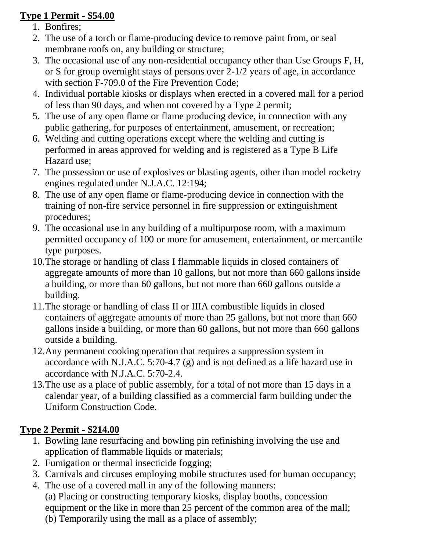#### **Type 1 Permit - \$54.00**

- 1. Bonfires;
- 2. The use of a torch or flame-producing device to remove paint from, or seal membrane roofs on, any building or structure;
- 3. The occasional use of any non-residential occupancy other than Use Groups F, H, or S for group overnight stays of persons over 2-1/2 years of age, in accordance with section F-709.0 of the Fire Prevention Code;
- 4. Individual portable kiosks or displays when erected in a covered mall for a period of less than 90 days, and when not covered by a Type 2 permit;
- 5. The use of any open flame or flame producing device, in connection with any public gathering, for purposes of entertainment, amusement, or recreation;
- 6. Welding and cutting operations except where the welding and cutting is performed in areas approved for welding and is registered as a Type B Life Hazard use;
- 7. The possession or use of explosives or blasting agents, other than model rocketry engines regulated under N.J.A.C. 12:194;
- 8. The use of any open flame or flame-producing device in connection with the training of non-fire service personnel in fire suppression or extinguishment procedures;
- 9. The occasional use in any building of a multipurpose room, with a maximum permitted occupancy of 100 or more for amusement, entertainment, or mercantile type purposes.
- 10.The storage or handling of class I flammable liquids in closed containers of aggregate amounts of more than 10 gallons, but not more than 660 gallons inside a building, or more than 60 gallons, but not more than 660 gallons outside a building.
- 11.The storage or handling of class II or IIIA combustible liquids in closed containers of aggregate amounts of more than 25 gallons, but not more than 660 gallons inside a building, or more than 60 gallons, but not more than 660 gallons outside a building.
- 12.Any permanent cooking operation that requires a suppression system in accordance with N.J.A.C. 5:70-4.7 (g) and is not defined as a life hazard use in accordance with N.J.A.C. 5:70-2.4.
- 13.The use as a place of public assembly, for a total of not more than 15 days in a calendar year, of a building classified as a commercial farm building under the Uniform Construction Code.

#### **Type 2 Permit - \$214.00**

- 1. Bowling lane resurfacing and bowling pin refinishing involving the use and application of flammable liquids or materials;
- 2. Fumigation or thermal insecticide fogging;
- 3. Carnivals and circuses employing mobile structures used for human occupancy;
- 4. The use of a covered mall in any of the following manners: (a) Placing or constructing temporary kiosks, display booths, concession equipment or the like in more than 25 percent of the common area of the mall; (b) Temporarily using the mall as a place of assembly;